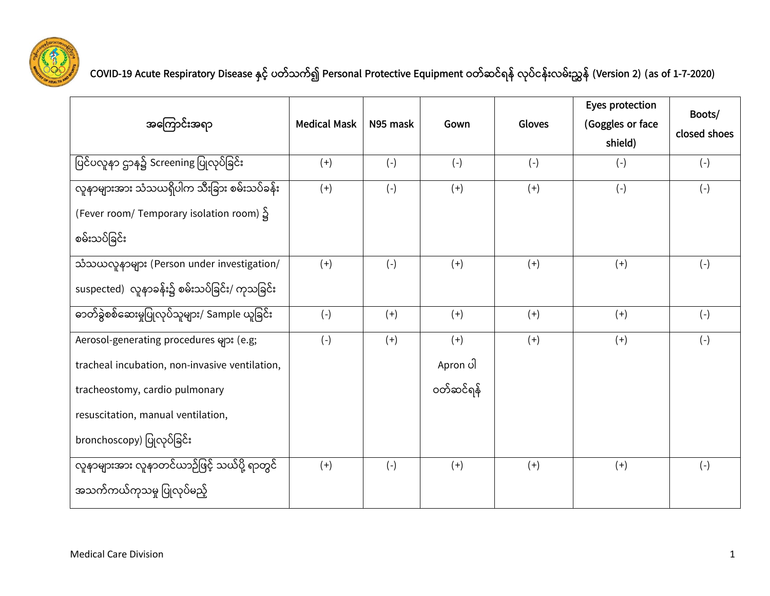

**COVID-19 Acute Respiratory Disease နှင ့် ပတ ့်သက့်၍ Personal Protective Equipment ဝတ့်ဆင့်ရန့် လုပ့်ငန့််းလမ့််းညွှန့် (Version 2) (as of 1-7-2020)**

|                                                      |                     |          |           |        | Eyes protection  | Boots/       |
|------------------------------------------------------|---------------------|----------|-----------|--------|------------------|--------------|
| အကြောင်းအရာ                                          | <b>Medical Mask</b> | N95 mask | Gown      | Gloves | (Goggles or face | closed shoes |
|                                                      |                     |          |           |        | shield)          |              |
| ပြင်ပလူနာ ဌာန၌ Screening ပြုလုပ်ခြင်း                | $(+)$               | $(-)$    | $(-)$     | $(-)$  | $(-)$            | $(-)$        |
| လူနာများအား သံသယရှိပါက သီးခြား စမ်းသပ်ခန်း           | $(+)$               | $(-)$    | $(+)$     | $(+)$  | $(-)$            | $(-)$        |
| (Fever room/ Temporary isolation room) $\frac{S}{S}$ |                     |          |           |        |                  |              |
| စမ်းသပ်ခြင်း                                         |                     |          |           |        |                  |              |
| သံသယလူနာများ (Person under investigation/            | $(+)$               | $(-)$    | $(+)$     | $(+)$  | $(+)$            | $(-)$        |
| suspected) လူနာခန်း၌ စမ်းသပ်ခြင်း/ ကုသခြင်း          |                     |          |           |        |                  |              |
| ဓာတ်ခွဲစစ်ဆေးမှုပြုလုပ်သူများ/ Sample ယူခြင်း        | $(-)$               | $(+)$    | $(+)$     | $(+)$  | $(+)$            | $(-)$        |
| Aerosol-generating procedures များ (e.g;             | $(-)$               | $(+)$    | $(+)$     | $(+)$  | $(+)$            | $(-)$        |
| tracheal incubation, non-invasive ventilation,       |                     |          | Apron ပါ  |        |                  |              |
| tracheostomy, cardio pulmonary                       |                     |          | ဝတ်ဆင်ရန် |        |                  |              |
| resuscitation, manual ventilation,                   |                     |          |           |        |                  |              |
| bronchoscopy) ပြုလုပ်ခြင်း                           |                     |          |           |        |                  |              |
| လူနာများအား လူနာတင်ယာဉ်ဖြင့် သယ်ပို့ ရာတွင်          | $(+)$               | $(-)$    | $(+)$     | $(+)$  | $(+)$            | $(-)$        |
| အသက်ကယ်ကုသမှု ပြုလုပ်မည့်                            |                     |          |           |        |                  |              |